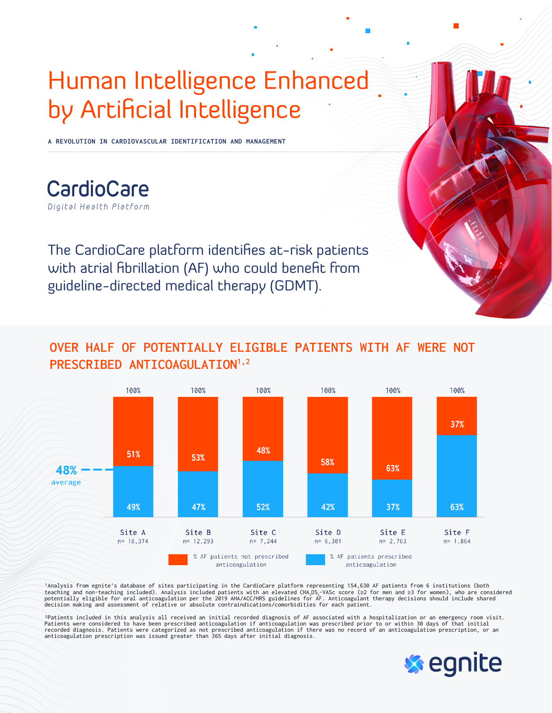## Human Intelligence Enhanced by Artificial Intelligence

**A REVOLUTION IN CARDIOVASCULAR IDENTIFICATION AND MANAGEMENT**

CardioCare Digital Health Platform

The CardioCare platform identifies at-risk patients with atrial fibrillation (AF) who could benefit from guideline-directed medical therapy (GDMT).

## **OVER HALF OF POTENTIALLY ELIGIBLE PATIENTS WITH AF WERE NOT**  PRESCRIBED ANTICOAGULATION<sup>1,2</sup>



'Analysis from egnite's database of sites participating in the CardioCare platform representing 154,630 AF patients from 6 institutions (both<br>teaching and non-teaching included). Analysis included patients with an elevat decision making and assessment of relative or absolute contraindications/comorbidities for each patient.

2Patients included in this analysis all received an initial recorded diagnosis of AF associated with a hospitalization or an emergency room visit. Patients were considered to have been prescribed anticoagulation if anticoagulation was prescribed prior to or within 30 days of that initial<br>recorded diagnosis. Patients were categorized as not prescribed anticoagulation